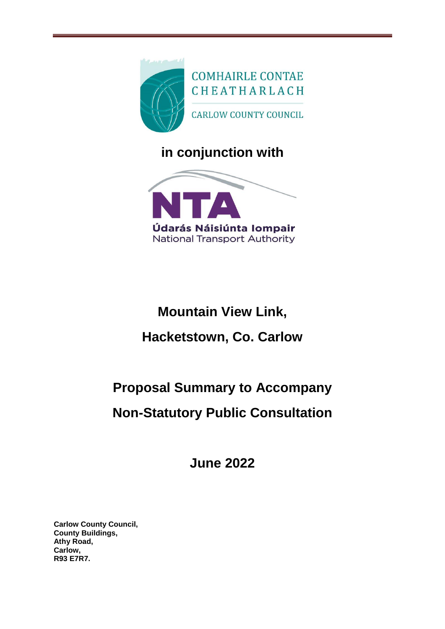

**in conjunction with**



# **Mountain View Link, Hacketstown, Co. Carlow**

## **Proposal Summary to Accompany**

### **Non-Statutory Public Consultation**

**June 2022**

**Carlow County Council, County Buildings, Athy Road, Carlow, R93 E7R7.**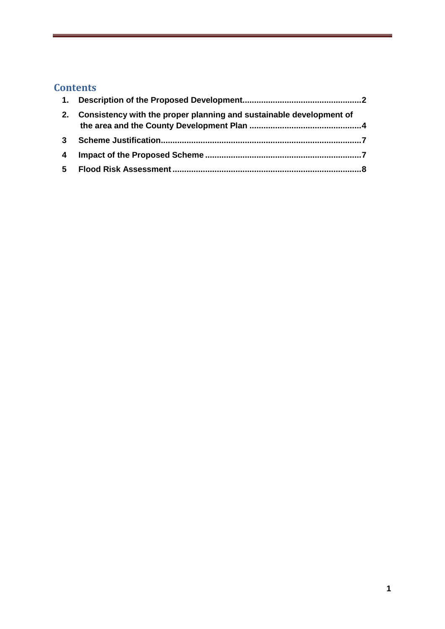### **Contents**

| 2.             | Consistency with the proper planning and sustainable development of |  |
|----------------|---------------------------------------------------------------------|--|
| 3 <sup>1</sup> |                                                                     |  |
| $\overline{a}$ |                                                                     |  |
|                |                                                                     |  |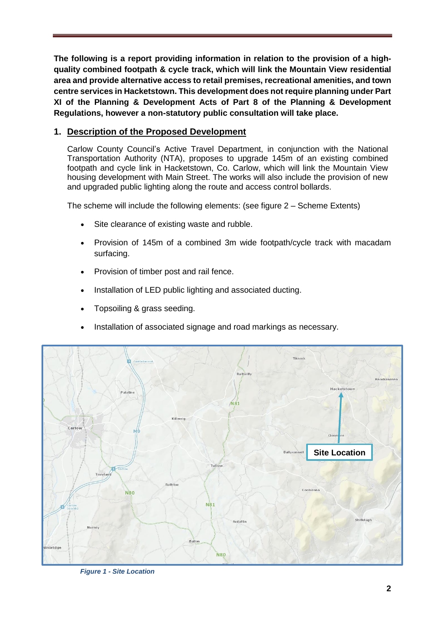**The following is a report providing information in relation to the provision of a highquality combined footpath & cycle track, which will link the Mountain View residential area and provide alternative access to retail premises, recreational amenities, and town centre services in Hacketstown. This development does not require planning under Part XI of the Planning & Development Acts of Part 8 of the Planning & Development Regulations, however a non-statutory public consultation will take place.**

#### <span id="page-2-0"></span>**1. Description of the Proposed Development**

Carlow County Council's Active Travel Department, in conjunction with the National Transportation Authority (NTA), proposes to upgrade 145m of an existing combined footpath and cycle link in Hacketstown, Co. Carlow, which will link the Mountain View housing development with Main Street. The works will also include the provision of new and upgraded public lighting along the route and access control bollards.

The scheme will include the following elements: (see figure 2 – Scheme Extents)

- Site clearance of existing waste and rubble.
- Provision of 145m of a combined 3m wide footpath/cycle track with macadam surfacing.
- Provision of timber post and rail fence.
- Installation of LED public lighting and associated ducting.
- Topsoiling & grass seeding.
- Installation of associated signage and road markings as necessary.



*Figure 1 - Site Location*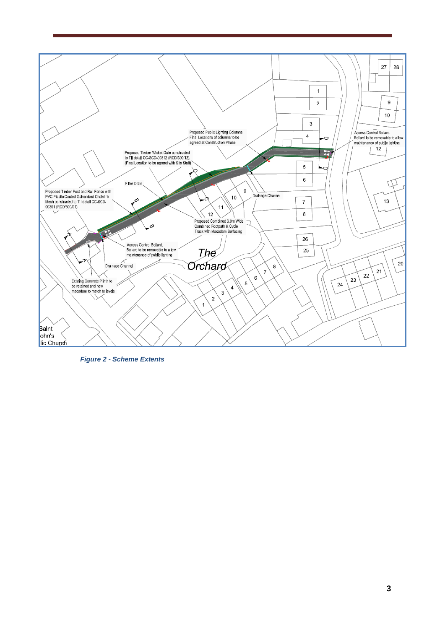

*Figure 2 - Scheme Extents*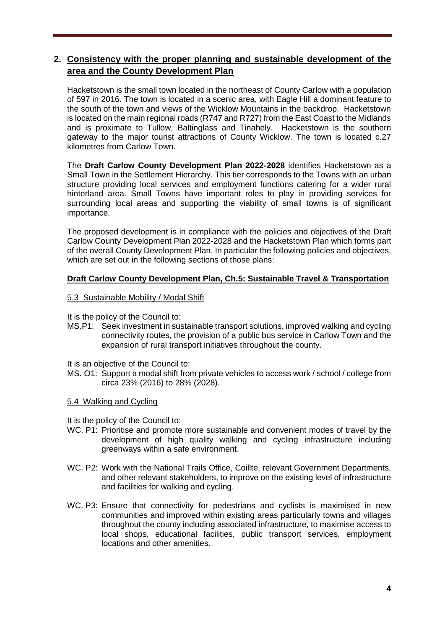#### <span id="page-4-0"></span>**2. Consistency with the proper planning and sustainable development of the area and the County Development Plan**

Hacketstown is the small town located in the northeast of County Carlow with a population of 597 in 2016. The town is located in a scenic area, with Eagle Hill a dominant feature to the south of the town and views of the Wicklow Mountains in the backdrop. Hacketstown is located on the main regional roads (R747 and R727) from the East Coast to the Midlands and is proximate to Tullow, Baltinglass and Tinahely. Hacketstown is the southern gateway to the major tourist attractions of County Wicklow. The town is located c.27 kilometres from Carlow Town.

The **Draft Carlow County Development Plan 2022-2028** identifies Hacketstown as a Small Town in the Settlement Hierarchy. This tier corresponds to the Towns with an urban structure providing local services and employment functions catering for a wider rural hinterland area. Small Towns have important roles to play in providing services for surrounding local areas and supporting the viability of small towns is of significant importance.

The proposed development is in compliance with the policies and objectives of the Draft Carlow County Development Plan 2022-2028 and the Hacketstown Plan which forms part of the overall County Development Plan. In particular the following policies and objectives, which are set out in the following sections of those plans:

#### **Draft Carlow County Development Plan, Ch.5: Sustainable Travel & Transportation**

- 5.3 Sustainable Mobility / Modal Shift
- It is the policy of the Council to:
- MS.P1: Seek investment in sustainable transport solutions, improved walking and cycling connectivity routes, the provision of a public bus service in Carlow Town and the expansion of rural transport initiatives throughout the county.
- It is an objective of the Council to:
- MS. O1: Support a modal shift from private vehicles to access work / school / college from circa 23% (2016) to 28% (2028).
- 5.4 Walking and Cycling

It is the policy of the Council to:

- WC. P1: Prioritise and promote more sustainable and convenient modes of travel by the development of high quality walking and cycling infrastructure including greenways within a safe environment.
- WC. P2: Work with the National Trails Office, Coillte, relevant Government Departments, and other relevant stakeholders, to improve on the existing level of infrastructure and facilities for walking and cycling.
- WC. P3: Ensure that connectivity for pedestrians and cyclists is maximised in new communities and improved within existing areas particularly towns and villages throughout the county including associated infrastructure, to maximise access to local shops, educational facilities, public transport services, employment locations and other amenities.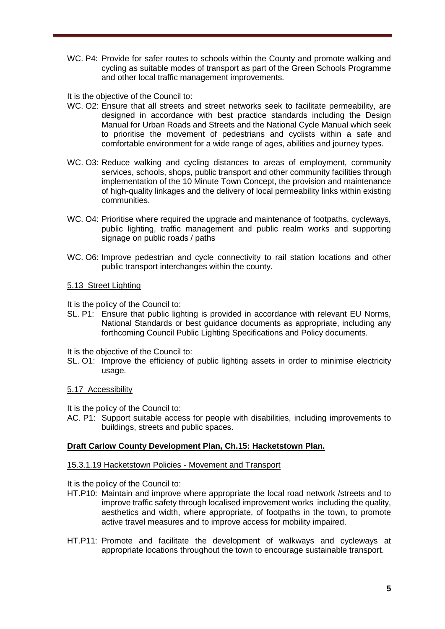WC. P4: Provide for safer routes to schools within the County and promote walking and cycling as suitable modes of transport as part of the Green Schools Programme and other local traffic management improvements.

It is the objective of the Council to:

- WC. O2: Ensure that all streets and street networks seek to facilitate permeability, are designed in accordance with best practice standards including the Design Manual for Urban Roads and Streets and the National Cycle Manual which seek to prioritise the movement of pedestrians and cyclists within a safe and comfortable environment for a wide range of ages, abilities and journey types.
- WC. O3: Reduce walking and cycling distances to areas of employment, community services, schools, shops, public transport and other community facilities through implementation of the 10 Minute Town Concept, the provision and maintenance of high-quality linkages and the delivery of local permeability links within existing communities.
- WC. O4: Prioritise where required the upgrade and maintenance of footpaths, cycleways, public lighting, traffic management and public realm works and supporting signage on public roads / paths
- WC. O6: Improve pedestrian and cycle connectivity to rail station locations and other public transport interchanges within the county.

#### 5.13 Street Lighting

It is the policy of the Council to:

SL. P1: Ensure that public lighting is provided in accordance with relevant EU Norms, National Standards or best guidance documents as appropriate, including any forthcoming Council Public Lighting Specifications and Policy documents.

It is the objective of the Council to:

SL. O1: Improve the efficiency of public lighting assets in order to minimise electricity usage.

#### 5.17 Accessibility

It is the policy of the Council to:

AC. P1: Support suitable access for people with disabilities, including improvements to buildings, streets and public spaces.

#### **Draft Carlow County Development Plan, Ch.15: Hacketstown Plan.**

#### 15.3.1.19 Hacketstown Policies - Movement and Transport

It is the policy of the Council to:

- HT.P10: Maintain and improve where appropriate the local road network /streets and to improve traffic safety through localised improvement works including the quality, aesthetics and width, where appropriate, of footpaths in the town, to promote active travel measures and to improve access for mobility impaired.
- HT.P11: Promote and facilitate the development of walkways and cycleways at appropriate locations throughout the town to encourage sustainable transport.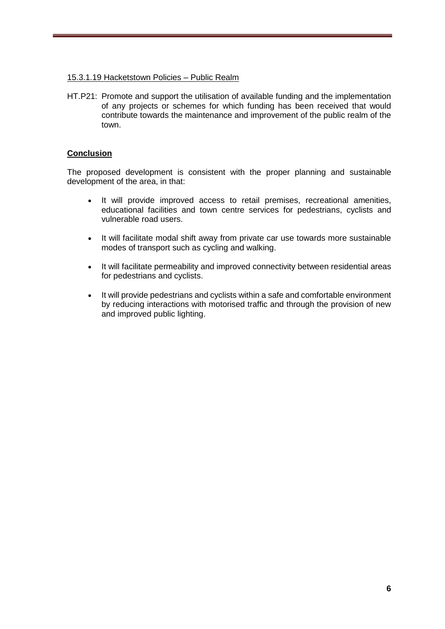#### 15.3.1.19 Hacketstown Policies – Public Realm

HT.P21: Promote and support the utilisation of available funding and the implementation of any projects or schemes for which funding has been received that would contribute towards the maintenance and improvement of the public realm of the town.

#### **Conclusion**

The proposed development is consistent with the proper planning and sustainable development of the area, in that:

- It will provide improved access to retail premises, recreational amenities, educational facilities and town centre services for pedestrians, cyclists and vulnerable road users.
- It will facilitate modal shift away from private car use towards more sustainable modes of transport such as cycling and walking.
- It will facilitate permeability and improved connectivity between residential areas for pedestrians and cyclists.
- It will provide pedestrians and cyclists within a safe and comfortable environment by reducing interactions with motorised traffic and through the provision of new and improved public lighting.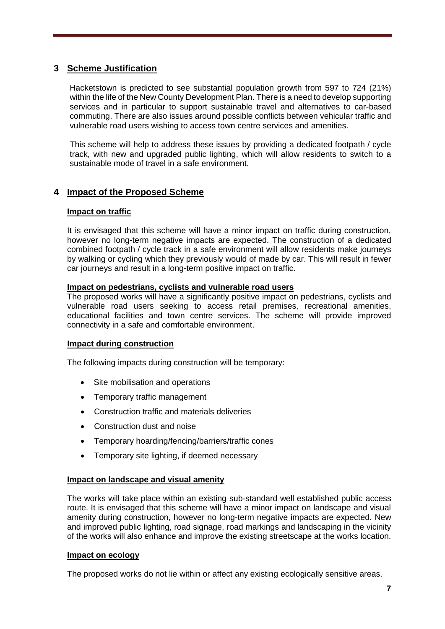#### <span id="page-7-0"></span>**3 Scheme Justification**

Hacketstown is predicted to see substantial population growth from 597 to 724 (21%) within the life of the New County Development Plan. There is a need to develop supporting services and in particular to support sustainable travel and alternatives to car-based commuting. There are also issues around possible conflicts between vehicular traffic and vulnerable road users wishing to access town centre services and amenities.

This scheme will help to address these issues by providing a dedicated footpath / cycle track, with new and upgraded public lighting, which will allow residents to switch to a sustainable mode of travel in a safe environment.

#### <span id="page-7-1"></span>**4 Impact of the Proposed Scheme**

#### **Impact on traffic**

It is envisaged that this scheme will have a minor impact on traffic during construction, however no long-term negative impacts are expected. The construction of a dedicated combined footpath / cycle track in a safe environment will allow residents make journeys by walking or cycling which they previously would of made by car. This will result in fewer car journeys and result in a long-term positive impact on traffic.

#### **Impact on pedestrians, cyclists and vulnerable road users**

The proposed works will have a significantly positive impact on pedestrians, cyclists and vulnerable road users seeking to access retail premises, recreational amenities, educational facilities and town centre services. The scheme will provide improved connectivity in a safe and comfortable environment.

#### **Impact during construction**

The following impacts during construction will be temporary:

- Site mobilisation and operations
- Temporary traffic management
- Construction traffic and materials deliveries
- Construction dust and noise
- Temporary hoarding/fencing/barriers/traffic cones
- Temporary site lighting, if deemed necessary

#### **Impact on landscape and visual amenity**

The works will take place within an existing sub-standard well established public access route. It is envisaged that this scheme will have a minor impact on landscape and visual amenity during construction, however no long-term negative impacts are expected. New and improved public lighting, road signage, road markings and landscaping in the vicinity of the works will also enhance and improve the existing streetscape at the works location.

#### **Impact on ecology**

The proposed works do not lie within or affect any existing ecologically sensitive areas.